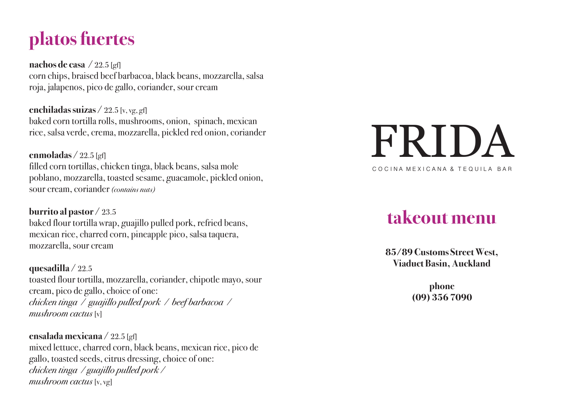# **platos fuertes**

**nachos de casa**  / 22.5 [gf] corn chips, braised beef barbacoa, black beans, mozzarella, salsa roja, jalapenos, pico de gallo, coriander, sour cream

**enchiladas suizas** / 22.5 [v, vg, gf] baked corn tortilla rolls, mushrooms, onion, spinach, mexican rice, salsa verde, crema, mozzarella, pickled red onion, coriander

**enmoladas**  / 22.5 [gf] filled corn tortillas, chicken tinga, black beans, salsa mole poblano, mozzarella, toasted sesame, guacamole, pickled onion, sour cream, coriander *(contains nuts)*

**burrito al pastor** / 23.5 baked flour tortilla wrap, guajillo pulled pork, refried beans, mexican rice, charred corn, pineapple pico, salsa taquera, mozzarella, sour cream

**quesadilla** / 22.5 toasted flour tortilla, mozzarella, coriander, chipotle mayo, sour cream, pico de gallo, choice of one: *chicken tinga / guajillo pulled pork / beef barbacoa / mushroom cactus* [v]

**ensalada mexicana** / 22.5 [gf] mixed lettuce, charred corn, black beans, mexican rice, pico de gallo, toasted seeds, citrus dressing, choice of one: *chicken tinga / guajillo pulled pork / mushroom cactus* [v, vg]

# FRIDA CO CINA MEXICANA & TEQUILA BAR

## **takeout menu**

**85/89 Customs Street West, Viaduct Basin, Auckland**

> **phone (09) 356 7090**